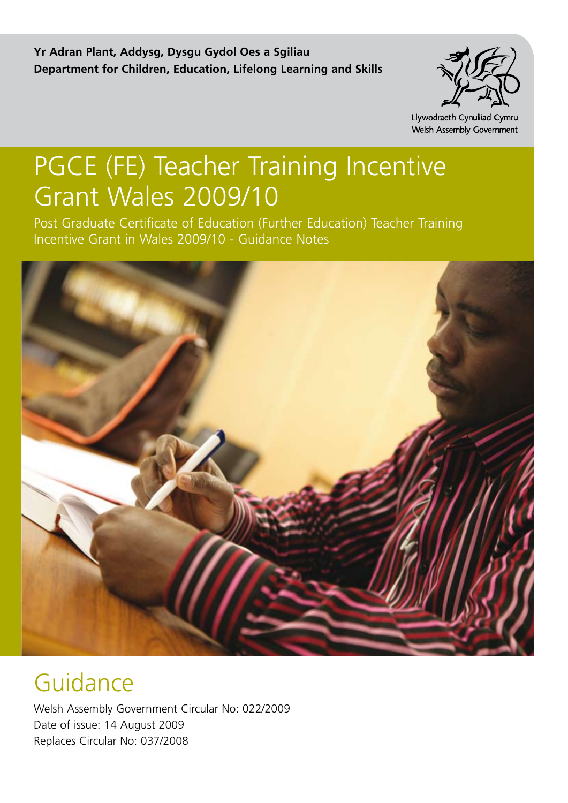**Yr Adran Plant, Addysg, Dysgu Gydol Oes a Sgiliau Department for Children, Education, Lifelong Learning and Skills**



Llywodraeth Cynulliad Cymru Welsh Assembly Government

# PGCE (FE) Teacher Training Incentive Grant Wales 2009/10

Post Graduate Certificate of Education (Further Education) Teacher Training Incentive Grant in Wales 2009/10 - Guidance Notes



# Guidance

Welsh Assembly Government Circular No: 022/2009 Date of issue: 14 August 2009 Replaces Circular No: 037/2008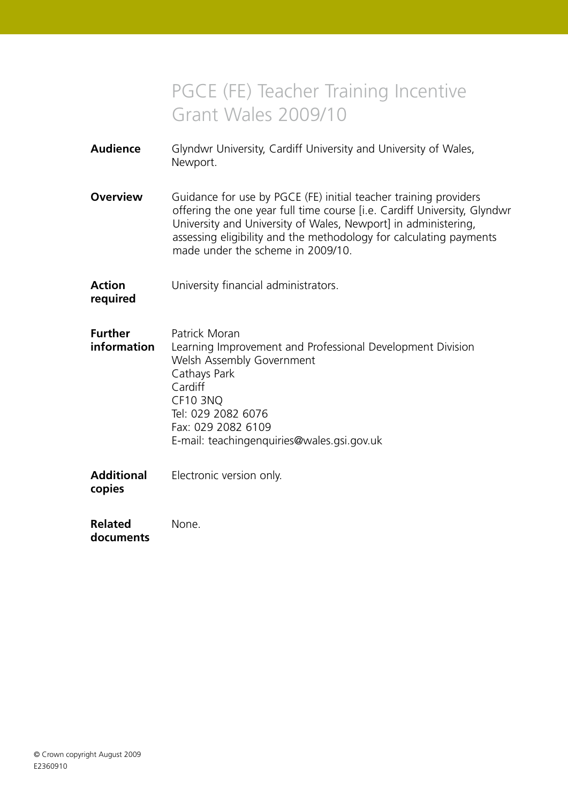# PGCE (FE) Teacher Training Incentive Grant Wales 2009/10

| Audience | Glyndwr University, Cardiff University and University of Wales, |  |  |
|----------|-----------------------------------------------------------------|--|--|
|          | Newport.                                                        |  |  |

**Overview** Guidance for use by PGCE (FE) initial teacher training providers offering the one year full time course [i.e. Cardiff University, Glyndwr University and University of Wales, Newport] in administering, assessing eligibility and the methodology for calculating payments made under the scheme in 2009/10.

**Action** University financial administrators.

**required**

| <b>Further</b> | Patrick Moran                                              |
|----------------|------------------------------------------------------------|
| information    | Learning Improvement and Professional Development Division |
|                | Welsh Assembly Government                                  |
|                | Cathays Park                                               |
|                | Cardiff                                                    |
|                | CF10 3NQ                                                   |
|                | Tel: 029 2082 6076                                         |
|                | Fax: 029 2082 6109                                         |
|                | E-mail: teachingenquiries@wales.gsi.gov.uk                 |
|                |                                                            |
|                |                                                            |

**Additional** Electronic version only. **copies**

**Related** None. **documents**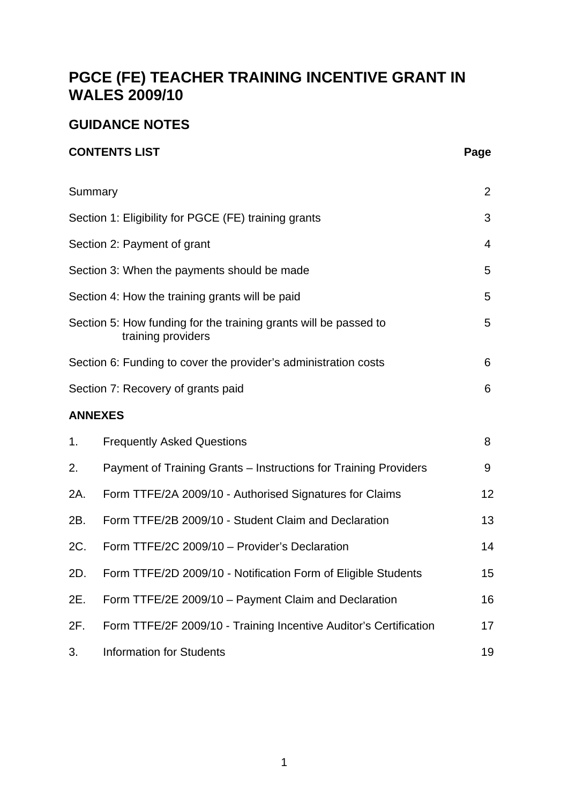# **PGCE (FE) TEACHER TRAINING INCENTIVE GRANT IN WALES 2009/10**

# **GUIDANCE NOTES**

# **CONTENTS LIST** Page

|     | Summary                                                                                | $\overline{2}$ |
|-----|----------------------------------------------------------------------------------------|----------------|
|     | Section 1: Eligibility for PGCE (FE) training grants                                   | 3              |
|     | Section 2: Payment of grant                                                            | $\overline{4}$ |
|     | Section 3: When the payments should be made                                            | 5              |
|     | Section 4: How the training grants will be paid                                        | 5              |
|     | Section 5: How funding for the training grants will be passed to<br>training providers | 5              |
|     | Section 6: Funding to cover the provider's administration costs                        | 6              |
|     | Section 7: Recovery of grants paid                                                     | 6              |
|     | <b>ANNEXES</b>                                                                         |                |
| 1.  | <b>Frequently Asked Questions</b>                                                      | 8              |
| 2.  | Payment of Training Grants - Instructions for Training Providers                       | 9              |
| 2A. | Form TTFE/2A 2009/10 - Authorised Signatures for Claims                                | 12             |
| 2B. | Form TTFE/2B 2009/10 - Student Claim and Declaration                                   | 13             |
| 2C. | Form TTFE/2C 2009/10 - Provider's Declaration                                          | 14             |
| 2D. | Form TTFE/2D 2009/10 - Notification Form of Eligible Students                          | 15             |
| 2E. | Form TTFE/2E 2009/10 - Payment Claim and Declaration                                   | 16             |
| 2F. | Form TTFE/2F 2009/10 - Training Incentive Auditor's Certification                      | 17             |
| 3.  | <b>Information for Students</b>                                                        | 19             |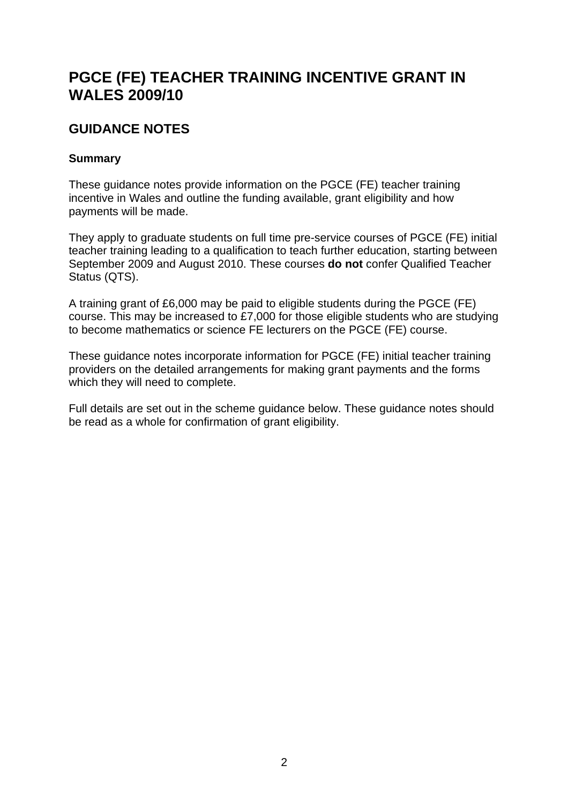# **PGCE (FE) TEACHER TRAINING INCENTIVE GRANT IN WALES 2009/10**

# **GUIDANCE NOTES**

# **Summary**

These guidance notes provide information on the PGCE (FE) teacher training incentive in Wales and outline the funding available, grant eligibility and how payments will be made.

They apply to graduate students on full time pre-service courses of PGCE (FE) initial teacher training leading to a qualification to teach further education, starting between September 2009 and August 2010. These courses **do not** confer Qualified Teacher Status (QTS).

A training grant of £6,000 may be paid to eligible students during the PGCE (FE) course. This may be increased to £7,000 for those eligible students who are studying to become mathematics or science FE lecturers on the PGCE (FE) course.

These guidance notes incorporate information for PGCE (FE) initial teacher training providers on the detailed arrangements for making grant payments and the forms which they will need to complete.

Full details are set out in the scheme guidance below. These guidance notes should be read as a whole for confirmation of grant eligibility.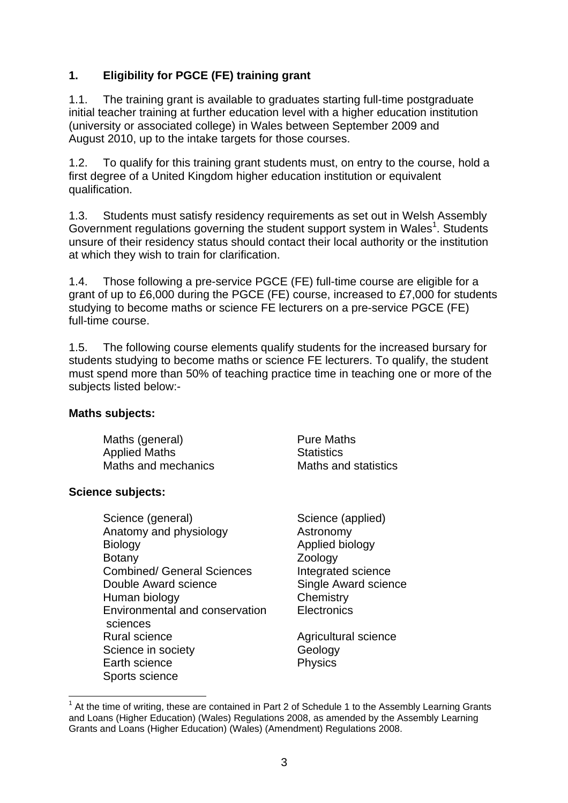# **1. Eligibility for PGCE (FE) training grant**

1.1. The training grant is available to graduates starting full-time postgraduate initial teacher training at further education level with a higher education institution (university or associated college) in Wales between September 2009 and August 2010, up to the intake targets for those courses.

1.2. To qualify for this training grant students must, on entry to the course, hold a first degree of a United Kingdom higher education institution or equivalent qualification.

1.3. Students must satisfy residency requirements as set out in Welsh Assembly Government regulations governing the student support system in Wales<sup>1</sup>. Students unsure of their residency status should contact their local authority or the institution at which they wish to train for clarification.

1.4. Those following a pre-service PGCE (FE) full-time course are eligible for a grant of up to £6,000 during the PGCE (FE) course, increased to £7,000 for students studying to become maths or science FE lecturers on a pre-service PGCE (FE) full-time course.

1.5. The following course elements qualify students for the increased bursary for students studying to become maths or science FE lecturers. To qualify, the student must spend more than 50% of teaching practice time in teaching one or more of the subjects listed below:-

#### **Maths subjects:**

Maths (general) **Pure Maths** Applied Maths Statistics Maths and mechanics Maths and statistics

# **Science subjects:**

 $\overline{a}$ 

Science (general) Science (applied) Anatomy and physiology **Anatomy** Astronomy Biology **Biology Applied biology** Botany **Zoology** Combined/ General Sciences Integrated science Double Award science Single Award science Human biology Chemistry Environmental and conservation Electronics sciences Rural science **Agricultural science** Agricultural science Science in society **Geology** Geology Earth science **Physics** Sports science

 $1$  At the time of writing, these are contained in Part 2 of Schedule 1 to the Assembly Learning Grants and Loans (Higher Education) (Wales) Regulations 2008, as amended by the Assembly Learning Grants and Loans (Higher Education) (Wales) (Amendment) Regulations 2008.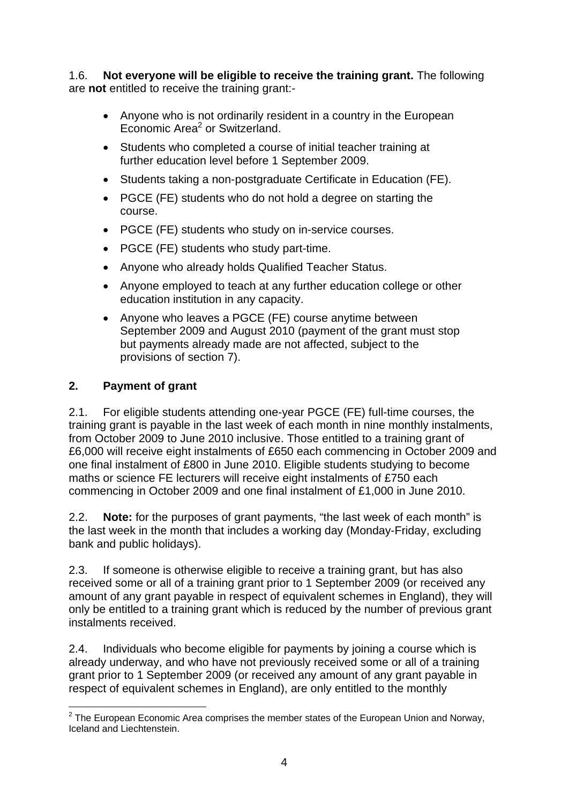1.6. **Not everyone will be eligible to receive the training grant.** The following are **not** entitled to receive the training grant:-

- Anyone who is not ordinarily resident in a country in the European Economic Area<sup>2</sup> or Switzerland.
- Students who completed a course of initial teacher training at further education level before 1 September 2009.
- Students taking a non-postgraduate Certificate in Education (FE).
- PGCE (FE) students who do not hold a degree on starting the course.
- PGCE (FE) students who study on in-service courses.
- PGCE (FE) students who study part-time.
- Anyone who already holds Qualified Teacher Status.
- Anyone employed to teach at any further education college or other education institution in any capacity.
- Anyone who leaves a PGCE (FE) course anytime between September 2009 and August 2010 (payment of the grant must stop but payments already made are not affected, subject to the provisions of section 7).

# **2. Payment of grant**

2.1. For eligible students attending one-year PGCE (FE) full-time courses, the training grant is payable in the last week of each month in nine monthly instalments, from October 2009 to June 2010 inclusive. Those entitled to a training grant of £6,000 will receive eight instalments of £650 each commencing in October 2009 and one final instalment of £800 in June 2010. Eligible students studying to become maths or science FE lecturers will receive eight instalments of £750 each commencing in October 2009 and one final instalment of £1,000 in June 2010.

2.2. **Note:** for the purposes of grant payments, "the last week of each month" is the last week in the month that includes a working day (Monday-Friday, excluding bank and public holidays).

2.3. If someone is otherwise eligible to receive a training grant, but has also received some or all of a training grant prior to 1 September 2009 (or received any amount of any grant payable in respect of equivalent schemes in England), they will only be entitled to a training grant which is reduced by the number of previous grant instalments received.

2.4. Individuals who become eligible for payments by joining a course which is already underway, and who have not previously received some or all of a training grant prior to 1 September 2009 (or received any amount of any grant payable in respect of equivalent schemes in England), are only entitled to the monthly

<sup>————————————————————&</sup>lt;br><sup>2</sup> The European Economic Area comprises the member states of the European Union and Norway, Iceland and Liechtenstein.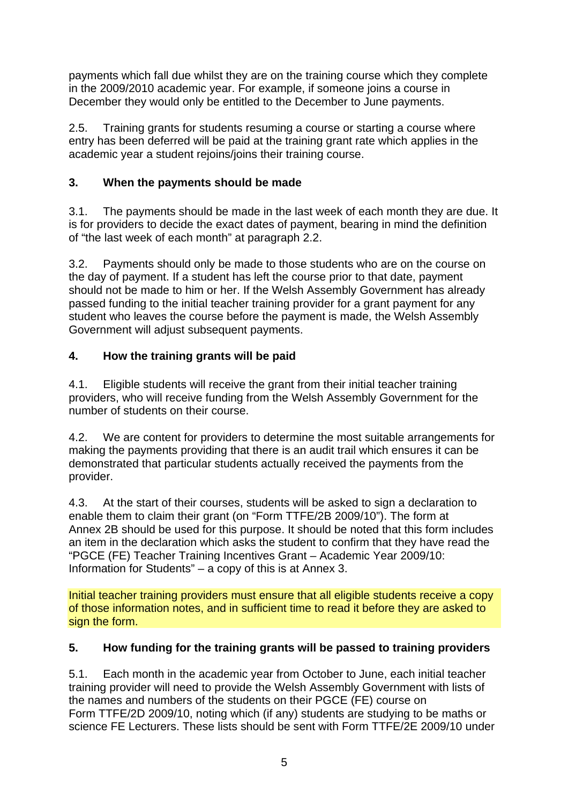payments which fall due whilst they are on the training course which they complete in the 2009/2010 academic year. For example, if someone joins a course in December they would only be entitled to the December to June payments.

2.5. Training grants for students resuming a course or starting a course where entry has been deferred will be paid at the training grant rate which applies in the academic year a student rejoins/joins their training course.

# **3. When the payments should be made**

3.1. The payments should be made in the last week of each month they are due. It is for providers to decide the exact dates of payment, bearing in mind the definition of "the last week of each month" at paragraph 2.2.

3.2. Payments should only be made to those students who are on the course on the day of payment. If a student has left the course prior to that date, payment should not be made to him or her. If the Welsh Assembly Government has already passed funding to the initial teacher training provider for a grant payment for any student who leaves the course before the payment is made, the Welsh Assembly Government will adjust subsequent payments.

# **4. How the training grants will be paid**

4.1. Eligible students will receive the grant from their initial teacher training providers, who will receive funding from the Welsh Assembly Government for the number of students on their course.

4.2. We are content for providers to determine the most suitable arrangements for making the payments providing that there is an audit trail which ensures it can be demonstrated that particular students actually received the payments from the provider.

4.3. At the start of their courses, students will be asked to sign a declaration to enable them to claim their grant (on "Form TTFE/2B 2009/10"). The form at Annex 2B should be used for this purpose. It should be noted that this form includes an item in the declaration which asks the student to confirm that they have read the "PGCE (FE) Teacher Training Incentives Grant – Academic Year 2009/10: Information for Students" – a copy of this is at Annex 3.

Initial teacher training providers must ensure that all eligible students receive a copy of those information notes, and in sufficient time to read it before they are asked to sign the form.

# **5. How funding for the training grants will be passed to training providers**

5.1. Each month in the academic year from October to June, each initial teacher training provider will need to provide the Welsh Assembly Government with lists of the names and numbers of the students on their PGCE (FE) course on Form TTFE/2D 2009/10, noting which (if any) students are studying to be maths or science FE Lecturers. These lists should be sent with Form TTFE/2E 2009/10 under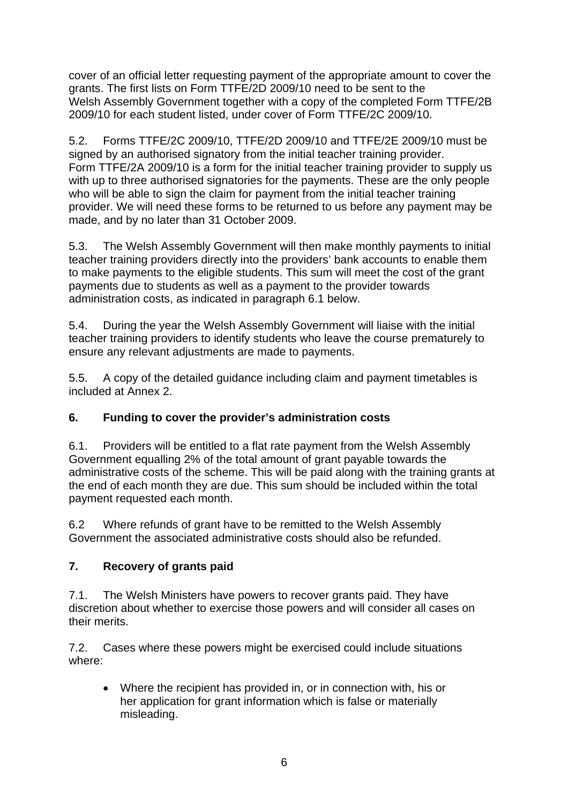cover of an official letter requesting payment of the appropriate amount to cover the grants. The first lists on Form TTFE/2D 2009/10 need to be sent to the Welsh Assembly Government together with a copy of the completed Form TTFE/2B 2009/10 for each student listed, under cover of Form TTFE/2C 2009/10.

5.2. Forms TTFE/2C 2009/10, TTFE/2D 2009/10 and TTFE/2E 2009/10 must be signed by an authorised signatory from the initial teacher training provider. Form TTFE/2A 2009/10 is a form for the initial teacher training provider to supply us with up to three authorised signatories for the payments. These are the only people who will be able to sign the claim for payment from the initial teacher training provider. We will need these forms to be returned to us before any payment may be made, and by no later than 31 October 2009.

5.3. The Welsh Assembly Government will then make monthly payments to initial teacher training providers directly into the providers' bank accounts to enable them to make payments to the eligible students. This sum will meet the cost of the grant payments due to students as well as a payment to the provider towards administration costs, as indicated in paragraph 6.1 below.

5.4. During the year the Welsh Assembly Government will liaise with the initial teacher training providers to identify students who leave the course prematurely to ensure any relevant adjustments are made to payments.

5.5. A copy of the detailed guidance including claim and payment timetables is included at Annex 2.

# **6. Funding to cover the provider's administration costs**

6.1. Providers will be entitled to a flat rate payment from the Welsh Assembly Government equalling 2% of the total amount of grant payable towards the administrative costs of the scheme. This will be paid along with the training grants at the end of each month they are due. This sum should be included within the total payment requested each month.

6.2 Where refunds of grant have to be remitted to the Welsh Assembly Government the associated administrative costs should also be refunded.

# **7. Recovery of grants paid**

7.1. The Welsh Ministers have powers to recover grants paid. They have discretion about whether to exercise those powers and will consider all cases on their merits.

7.2. Cases where these powers might be exercised could include situations where:

• Where the recipient has provided in, or in connection with, his or her application for grant information which is false or materially misleading.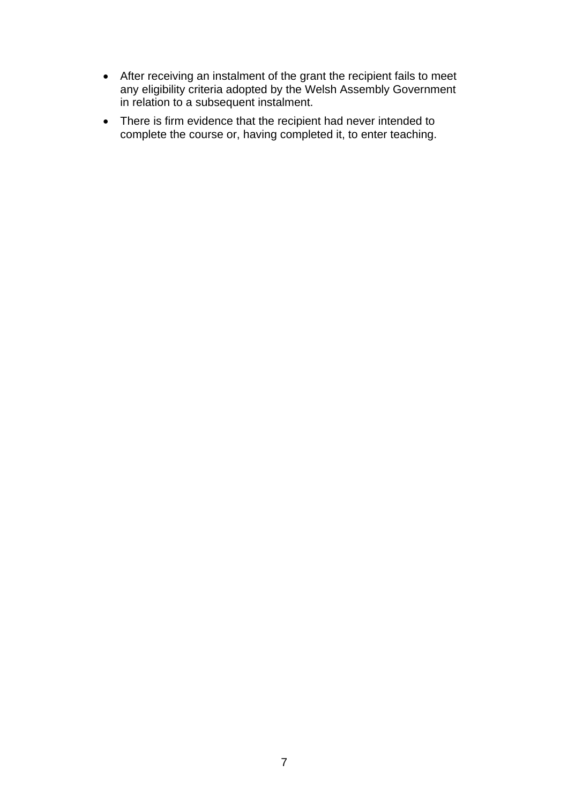- After receiving an instalment of the grant the recipient fails to meet any eligibility criteria adopted by the Welsh Assembly Government in relation to a subsequent instalment.
- There is firm evidence that the recipient had never intended to complete the course or, having completed it, to enter teaching.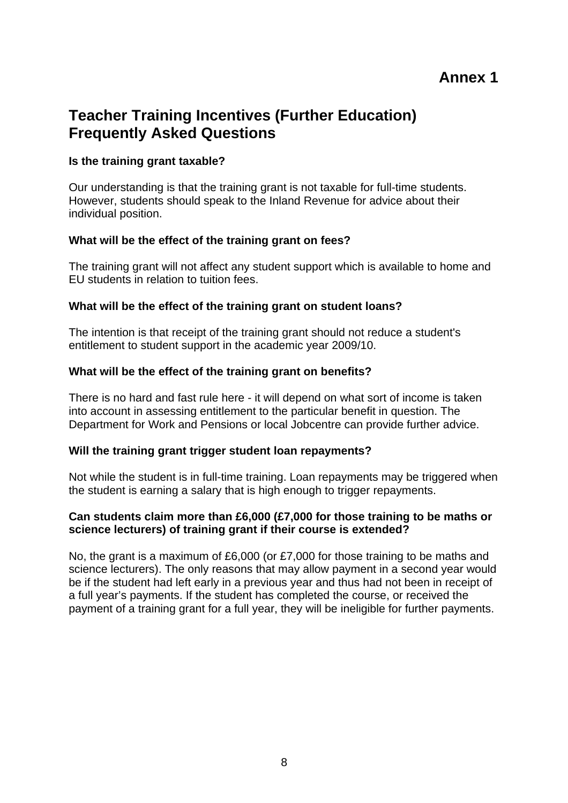# **Annex 1**

# **Teacher Training Incentives (Further Education) Frequently Asked Questions**

#### **Is the training grant taxable?**

Our understanding is that the training grant is not taxable for full-time students. However, students should speak to the Inland Revenue for advice about their individual position.

## **What will be the effect of the training grant on fees?**

The training grant will not affect any student support which is available to home and EU students in relation to tuition fees.

## **What will be the effect of the training grant on student loans?**

The intention is that receipt of the training grant should not reduce a student's entitlement to student support in the academic year 2009/10.

## **What will be the effect of the training grant on benefits?**

There is no hard and fast rule here - it will depend on what sort of income is taken into account in assessing entitlement to the particular benefit in question. The Department for Work and Pensions or local Jobcentre can provide further advice.

#### **Will the training grant trigger student loan repayments?**

Not while the student is in full-time training. Loan repayments may be triggered when the student is earning a salary that is high enough to trigger repayments.

#### **Can students claim more than £6,000 (£7,000 for those training to be maths or science lecturers) of training grant if their course is extended?**

No, the grant is a maximum of £6,000 (or £7,000 for those training to be maths and science lecturers). The only reasons that may allow payment in a second year would be if the student had left early in a previous year and thus had not been in receipt of a full year's payments. If the student has completed the course, or received the payment of a training grant for a full year, they will be ineligible for further payments.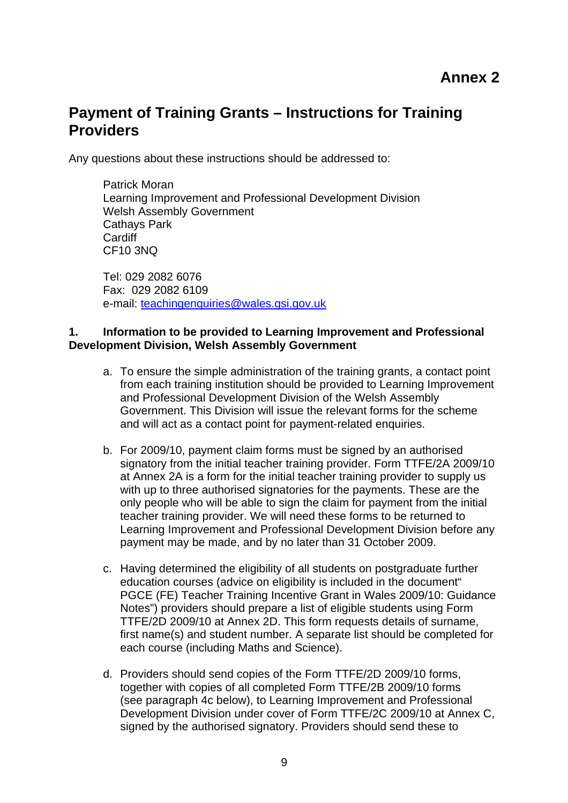# **Payment of Training Grants – Instructions for Training Providers**

Any questions about these instructions should be addressed to:

Patrick Moran Learning Improvement and Professional Development Division Welsh Assembly Government Cathays Park **Cardiff** CF10 3NQ

Tel: 029 2082 6076 Fax: 029 2082 6109 e-mail: teachingenquiries@wales.gsi.gov.uk

#### **1. Information to be provided to Learning Improvement and Professional Development Division, Welsh Assembly Government**

- a. To ensure the simple administration of the training grants, a contact point from each training institution should be provided to Learning Improvement and Professional Development Division of the Welsh Assembly Government. This Division will issue the relevant forms for the scheme and will act as a contact point for payment-related enquiries.
- b. For 2009/10, payment claim forms must be signed by an authorised signatory from the initial teacher training provider. Form TTFE/2A 2009/10 at Annex 2A is a form for the initial teacher training provider to supply us with up to three authorised signatories for the payments. These are the only people who will be able to sign the claim for payment from the initial teacher training provider. We will need these forms to be returned to Learning Improvement and Professional Development Division before any payment may be made, and by no later than 31 October 2009.
- c. Having determined the eligibility of all students on postgraduate further education courses (advice on eligibility is included in the document" PGCE (FE) Teacher Training Incentive Grant in Wales 2009/10: Guidance Notes") providers should prepare a list of eligible students using Form TTFE/2D 2009/10 at Annex 2D. This form requests details of surname, first name(s) and student number. A separate list should be completed for each course (including Maths and Science).
- d. Providers should send copies of the Form TTFE/2D 2009/10 forms, together with copies of all completed Form TTFE/2B 2009/10 forms (see paragraph 4c below), to Learning Improvement and Professional Development Division under cover of Form TTFE/2C 2009/10 at Annex C, signed by the authorised signatory. Providers should send these to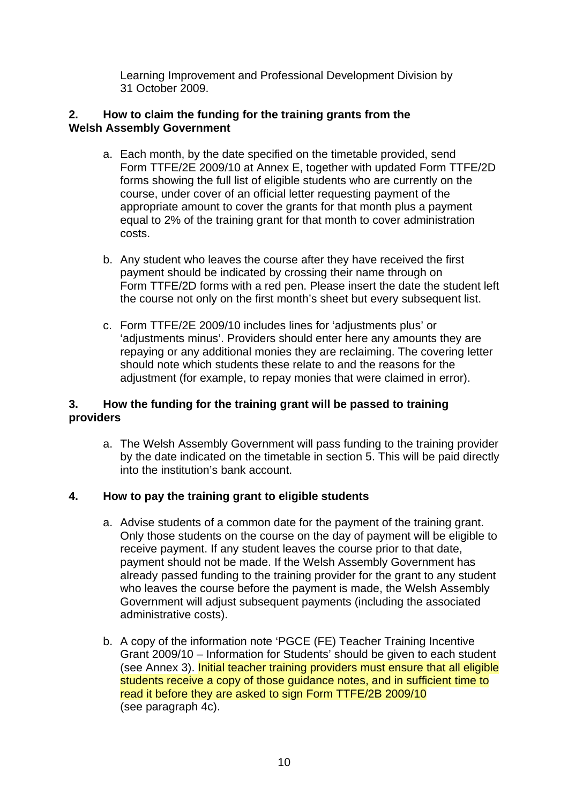Learning Improvement and Professional Development Division by 31 October 2009.

## **2. How to claim the funding for the training grants from the Welsh Assembly Government**

- a. Each month, by the date specified on the timetable provided, send Form TTFE/2E 2009/10 at Annex E, together with updated Form TTFE/2D forms showing the full list of eligible students who are currently on the course, under cover of an official letter requesting payment of the appropriate amount to cover the grants for that month plus a payment equal to 2% of the training grant for that month to cover administration costs.
- b. Any student who leaves the course after they have received the first payment should be indicated by crossing their name through on Form TTFE/2D forms with a red pen. Please insert the date the student left the course not only on the first month's sheet but every subsequent list.
- c. Form TTFE/2E 2009/10 includes lines for 'adjustments plus' or 'adjustments minus'. Providers should enter here any amounts they are repaying or any additional monies they are reclaiming. The covering letter should note which students these relate to and the reasons for the adjustment (for example, to repay monies that were claimed in error).

## **3. How the funding for the training grant will be passed to training providers**

a. The Welsh Assembly Government will pass funding to the training provider by the date indicated on the timetable in section 5. This will be paid directly into the institution's bank account.

# **4. How to pay the training grant to eligible students**

- a. Advise students of a common date for the payment of the training grant. Only those students on the course on the day of payment will be eligible to receive payment. If any student leaves the course prior to that date, payment should not be made. If the Welsh Assembly Government has already passed funding to the training provider for the grant to any student who leaves the course before the payment is made, the Welsh Assembly Government will adjust subsequent payments (including the associated administrative costs).
- b. A copy of the information note 'PGCE (FE) Teacher Training Incentive Grant 2009/10 – Information for Students' should be given to each student (see Annex 3). Initial teacher training providers must ensure that all eligible students receive a copy of those guidance notes, and in sufficient time to read it before they are asked to sign Form TTFE/2B 2009/10 (see paragraph 4c).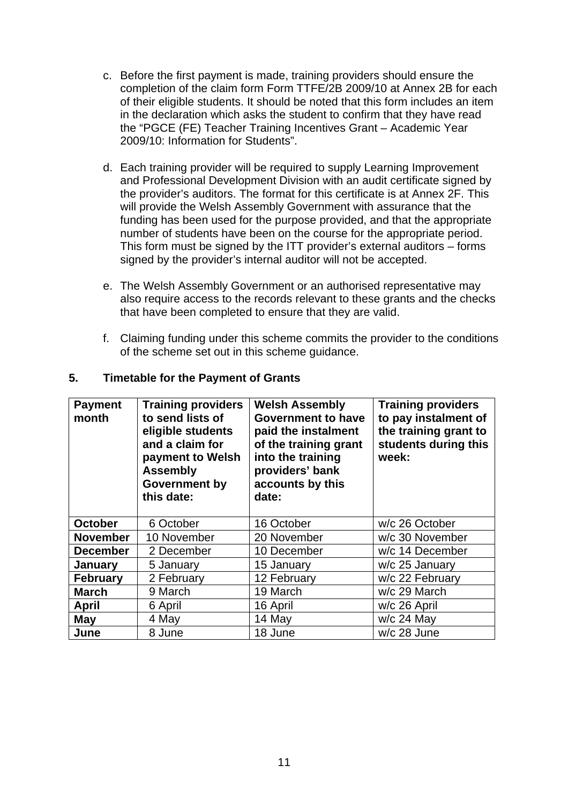- c. Before the first payment is made, training providers should ensure the completion of the claim form Form TTFE/2B 2009/10 at Annex 2B for each of their eligible students. It should be noted that this form includes an item in the declaration which asks the student to confirm that they have read the "PGCE (FE) Teacher Training Incentives Grant – Academic Year 2009/10: Information for Students".
- d. Each training provider will be required to supply Learning Improvement and Professional Development Division with an audit certificate signed by the provider's auditors. The format for this certificate is at Annex 2F. This will provide the Welsh Assembly Government with assurance that the funding has been used for the purpose provided, and that the appropriate number of students have been on the course for the appropriate period. This form must be signed by the ITT provider's external auditors – forms signed by the provider's internal auditor will not be accepted.
- e. The Welsh Assembly Government or an authorised representative may also require access to the records relevant to these grants and the checks that have been completed to ensure that they are valid.
- f. Claiming funding under this scheme commits the provider to the conditions of the scheme set out in this scheme guidance.

| <b>Payment</b><br>month | <b>Training providers</b><br>to send lists of<br>eligible students<br>and a claim for<br>payment to Welsh<br><b>Assembly</b><br>Government by<br>this date: | <b>Welsh Assembly</b><br><b>Government to have</b><br>paid the instalment<br>of the training grant<br>into the training<br>providers' bank<br>accounts by this<br>date: | <b>Training providers</b><br>to pay instalment of<br>the training grant to<br>students during this<br>week: |
|-------------------------|-------------------------------------------------------------------------------------------------------------------------------------------------------------|-------------------------------------------------------------------------------------------------------------------------------------------------------------------------|-------------------------------------------------------------------------------------------------------------|
| <b>October</b>          | 6 October                                                                                                                                                   | 16 October                                                                                                                                                              | w/c 26 October                                                                                              |
| <b>November</b>         | 10 November                                                                                                                                                 | 20 November                                                                                                                                                             | w/c 30 November                                                                                             |
| <b>December</b>         | 2 December                                                                                                                                                  | 10 December                                                                                                                                                             | w/c 14 December                                                                                             |
| January                 | 5 January                                                                                                                                                   | 15 January                                                                                                                                                              | w/c 25 January                                                                                              |
| <b>February</b>         | 2 February                                                                                                                                                  | 12 February                                                                                                                                                             | w/c 22 February                                                                                             |
| <b>March</b>            | 9 March                                                                                                                                                     | 19 March                                                                                                                                                                | w/c 29 March                                                                                                |
| <b>April</b>            | 6 April                                                                                                                                                     | 16 April                                                                                                                                                                | w/c 26 April                                                                                                |
| May                     | 4 May                                                                                                                                                       | 14 May                                                                                                                                                                  | $w/c$ 24 May                                                                                                |
| June                    | 8 June                                                                                                                                                      | 18 June                                                                                                                                                                 | w/c 28 June                                                                                                 |

#### **5. Timetable for the Payment of Grants**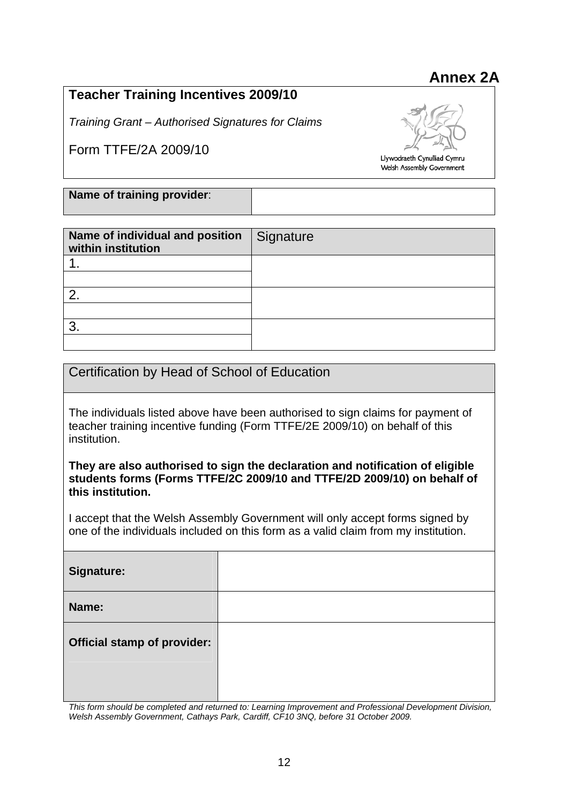# **Annex 2A**

# **Teacher Training Incentives 2009/10**

*Training Grant – Authorised Signatures for Claims* 

Form TTFE/2A 2009/10



Llywodraeth Cynulliad Cymru Welsh Assembly Government

# **Name of training provider**:

| Name of individual and position<br>within institution | Signature |
|-------------------------------------------------------|-----------|
|                                                       |           |
|                                                       |           |
| 2                                                     |           |
|                                                       |           |
| ົ                                                     |           |
|                                                       |           |

# Certification by Head of School of Education

The individuals listed above have been authorised to sign claims for payment of teacher training incentive funding (Form TTFE/2E 2009/10) on behalf of this institution.

**They are also authorised to sign the declaration and notification of eligible students forms (Forms TTFE/2C 2009/10 and TTFE/2D 2009/10) on behalf of this institution.** 

I accept that the Welsh Assembly Government will only accept forms signed by one of the individuals included on this form as a valid claim from my institution.

**Signature: Name: Official stamp of provider:** 

*This form should be completed and returned to: Learning Improvement and Professional Development Division, Welsh Assembly Government, Cathays Park, Cardiff, CF10 3NQ, before 31 October 2009.*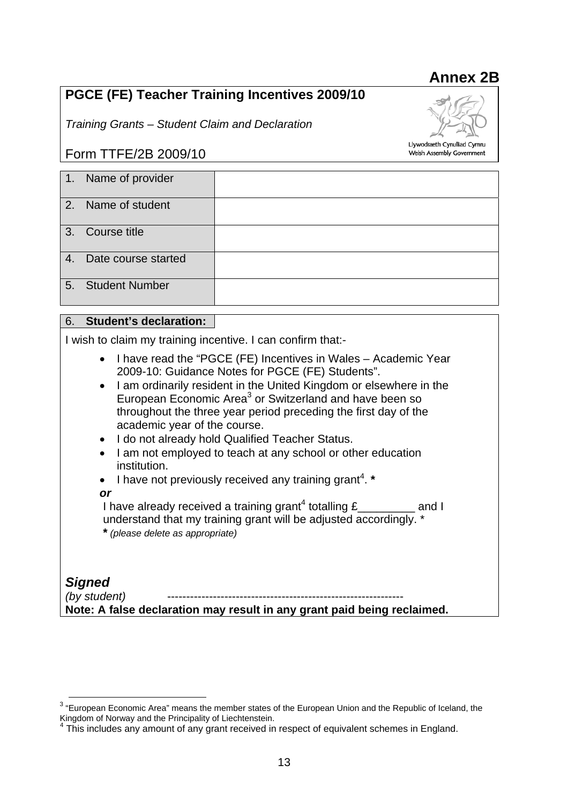# **PGCE (FE) Teacher Training Incentives 2009/10**

*Training Grants – Student Claim and Declaration* 

# Form TTFE/2B 2009/10

| 1. Name of provider    |  |
|------------------------|--|
| 2. Name of student     |  |
| 3. Course title        |  |
| 4. Date course started |  |
| 5. Student Number      |  |

## 6. **Student's declaration:**

I wish to claim my training incentive. I can confirm that:-

- I have read the "PGCE (FE) Incentives in Wales Academic Year 2009-10: Guidance Notes for PGCE (FE) Students".
- I am ordinarily resident in the United Kingdom or elsewhere in the European Economic Area<sup>3</sup> or Switzerland and have been so throughout the three year period preceding the first day of the academic year of the course.
- I do not already hold Qualified Teacher Status.
- I am not employed to teach at any school or other education institution.
- I have not previously received any training grant<sup>4</sup>. \*

#### *or*

I have already received a training grant<sup>4</sup> totalling £\_\_\_\_\_\_\_\_\_ and I understand that my training grant will be adjusted accordingly. \* **\*** *(please delete as appropriate)* 

*Signed (by student)* **Note: A false declaration may result in any grant paid being reclaimed.** 

# **Annex 2B**



Welsh Assembly Government

**EXECTED**<br><sup>3</sup> "European Economic Area" means the member states of the European Union and the Republic of Iceland, the Kingdom of Norway and the Principality of Liechtenstein.<br><sup>4</sup> This includes any amount of any grapt resolved in

This includes any amount of any grant received in respect of equivalent schemes in England.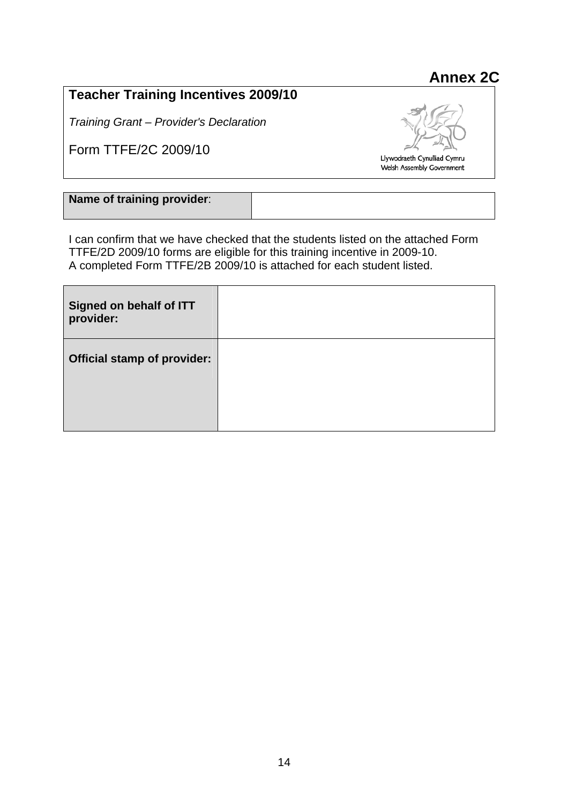# **Teacher Training Incentives 2009/10**

*Training Grant – Provider's Declaration* 

Form TTFE/2C 2009/10



**Annex 2C** 

**Name of training provider**:

I can confirm that we have checked that the students listed on the attached Form TTFE/2D 2009/10 forms are eligible for this training incentive in 2009-10. A completed Form TTFE/2B 2009/10 is attached for each student listed.

| Signed on behalf of ITT<br>provider: |  |
|--------------------------------------|--|
| <b>Official stamp of provider:</b>   |  |
|                                      |  |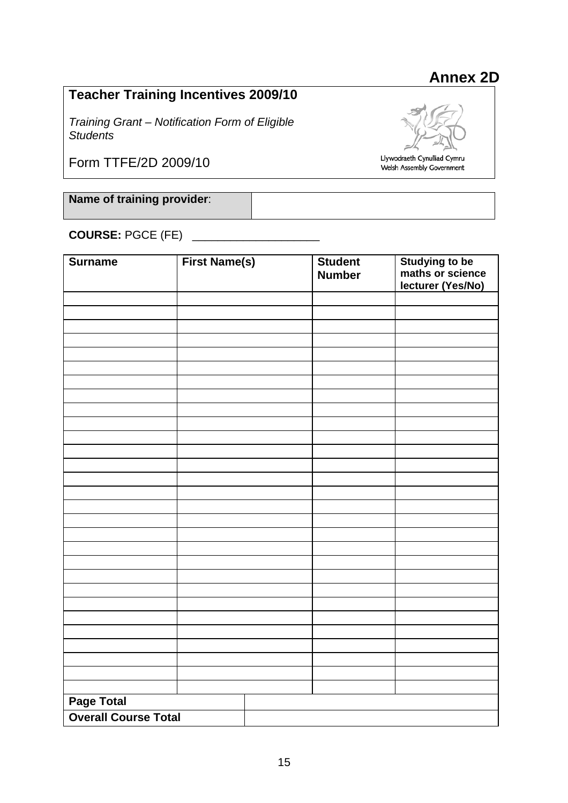# **Annex 2D**

# **Teacher Training Incentives 2009/10**

*Training Grant – Notification Form of Eligible Students* 

Form TTFE/2D 2009/10



Llywodraeth Cynulliad Cymru Welsh Assembly Government

**Name of training provider**:

**COURSE:** PGCE (FE)

| <b>Surname</b>              | <b>First Name(s)</b> | <b>Student</b><br><b>Number</b> | <b>Studying to be<br/>maths or science</b><br>lecturer (Yes/No) |
|-----------------------------|----------------------|---------------------------------|-----------------------------------------------------------------|
|                             |                      |                                 |                                                                 |
|                             |                      |                                 |                                                                 |
|                             |                      |                                 |                                                                 |
|                             |                      |                                 |                                                                 |
|                             |                      |                                 |                                                                 |
|                             |                      |                                 |                                                                 |
|                             |                      |                                 |                                                                 |
|                             |                      |                                 |                                                                 |
|                             |                      |                                 |                                                                 |
|                             |                      |                                 |                                                                 |
|                             |                      |                                 |                                                                 |
|                             |                      |                                 |                                                                 |
|                             |                      |                                 |                                                                 |
|                             |                      |                                 |                                                                 |
|                             |                      |                                 |                                                                 |
|                             |                      |                                 |                                                                 |
|                             |                      |                                 |                                                                 |
|                             |                      |                                 |                                                                 |
|                             |                      |                                 |                                                                 |
|                             |                      |                                 |                                                                 |
|                             |                      |                                 |                                                                 |
|                             |                      |                                 |                                                                 |
|                             |                      |                                 |                                                                 |
|                             |                      |                                 |                                                                 |
|                             |                      |                                 |                                                                 |
|                             |                      |                                 |                                                                 |
|                             |                      |                                 |                                                                 |
|                             |                      |                                 |                                                                 |
| Page Total                  |                      |                                 |                                                                 |
| <b>Overall Course Total</b> |                      |                                 |                                                                 |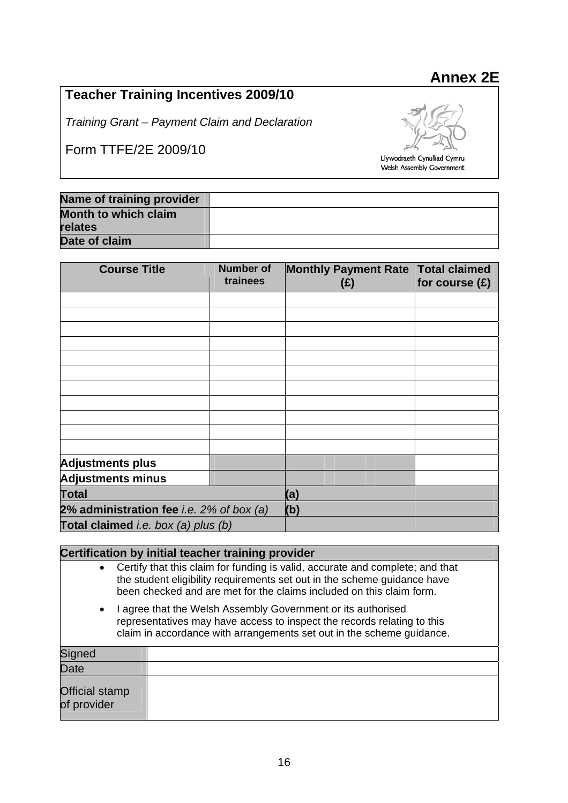# **Annex 2E**

# **Teacher Training Incentives 2009/10**

*Training Grant – Payment Claim and Declaration* 

Form TTFE/2E 2009/10



Llywodraeth Cynulliad Cymru Welsh Assembly Government

| Name of training provider |  |
|---------------------------|--|
| Month to which claim      |  |
| relates                   |  |
| Date of claim             |  |

| <b>Course Title</b>                             | <b>Number of</b><br>trainees | <b>Monthly Payment Rate</b><br>(E) | <b>Total claimed</b><br>for course $(E)$ |
|-------------------------------------------------|------------------------------|------------------------------------|------------------------------------------|
|                                                 |                              |                                    |                                          |
|                                                 |                              |                                    |                                          |
|                                                 |                              |                                    |                                          |
|                                                 |                              |                                    |                                          |
|                                                 |                              |                                    |                                          |
|                                                 |                              |                                    |                                          |
|                                                 |                              |                                    |                                          |
|                                                 |                              |                                    |                                          |
|                                                 |                              |                                    |                                          |
|                                                 |                              |                                    |                                          |
|                                                 |                              |                                    |                                          |
| <b>Adjustments plus</b>                         |                              |                                    |                                          |
| <b>Adjustments minus</b>                        |                              |                                    |                                          |
| <b>Total</b>                                    |                              | (a)                                |                                          |
| 2% administration fee <i>i.e.</i> 2% of box (a) |                              | (b)                                |                                          |
| Total claimed i.e. box (a) plus (b)             |                              |                                    |                                          |

# **Certification by initial teacher training provider**  • Certify that this claim for funding is valid, accurate and complete; and that the student eligibility requirements set out in the scheme guidance have been checked and are met for the claims included on this claim form. • I agree that the Welsh Assembly Government or its authorised representatives may have access to inspect the records relating to this claim in accordance with arrangements set out in the scheme guidance. **Signed Date** Official stamp of provider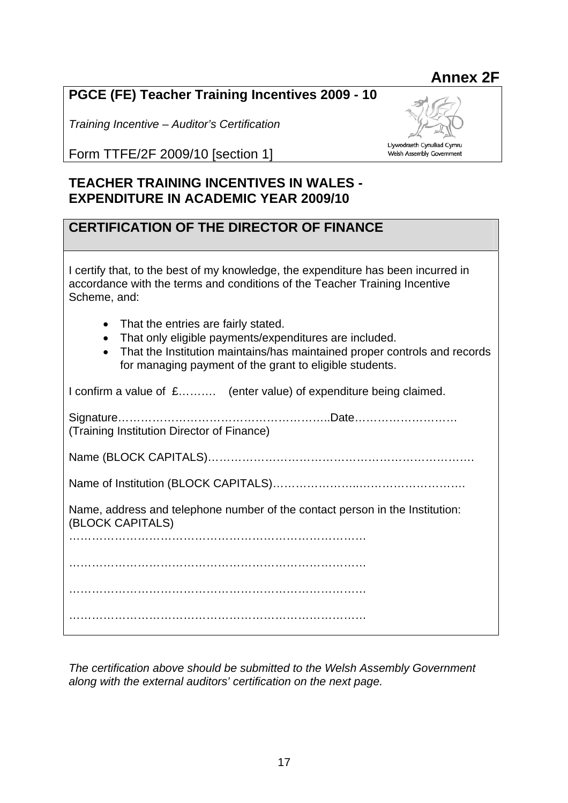# **Annex 2F**

# **PGCE (FE) Teacher Training Incentives 2009 - 10**

*Training Incentive – Auditor's Certification* 

Llywodraeth Cynulliad Cymru Welsh Assembly Government

Form TTFE/2F 2009/10 [section 1]

# **TEACHER TRAINING INCENTIVES IN WALES - EXPENDITURE IN ACADEMIC YEAR 2009/10**

# **CERTIFICATION OF THE DIRECTOR OF FINANCE**

| I certify that, to the best of my knowledge, the expenditure has been incurred in<br>accordance with the terms and conditions of the Teacher Training Incentive<br>Scheme, and:                                                                                 |  |  |
|-----------------------------------------------------------------------------------------------------------------------------------------------------------------------------------------------------------------------------------------------------------------|--|--|
| That the entries are fairly stated.<br>$\bullet$<br>That only eligible payments/expenditures are included.<br>$\bullet$<br>That the Institution maintains/has maintained proper controls and records<br>for managing payment of the grant to eligible students. |  |  |
| I confirm a value of £ (enter value) of expenditure being claimed.                                                                                                                                                                                              |  |  |
| (Training Institution Director of Finance)                                                                                                                                                                                                                      |  |  |
|                                                                                                                                                                                                                                                                 |  |  |
|                                                                                                                                                                                                                                                                 |  |  |
| Name, address and telephone number of the contact person in the Institution:<br>(BLOCK CAPITALS)                                                                                                                                                                |  |  |
|                                                                                                                                                                                                                                                                 |  |  |
|                                                                                                                                                                                                                                                                 |  |  |
|                                                                                                                                                                                                                                                                 |  |  |
|                                                                                                                                                                                                                                                                 |  |  |

*The certification above should be submitted to the Welsh Assembly Government along with the external auditors' certification on the next page.*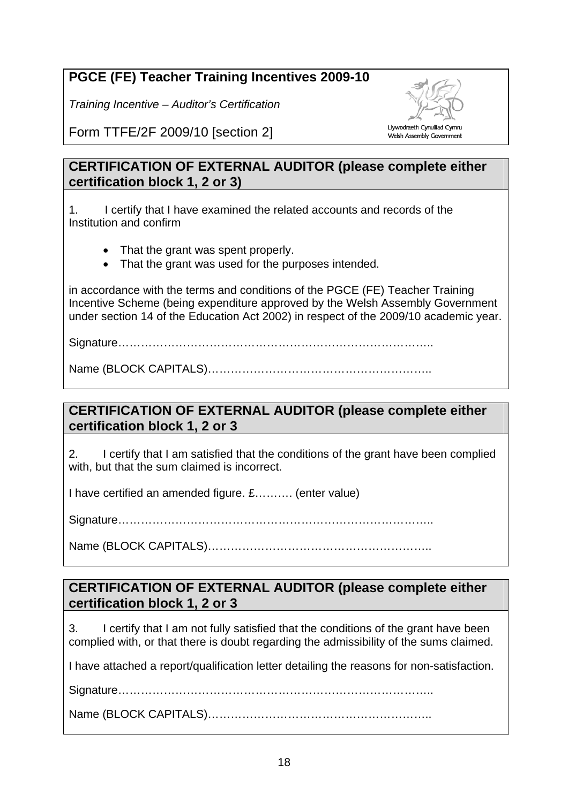# **PGCE (FE) Teacher Training Incentives 2009-10**

*Training Incentive – Auditor's Certification* 



Welsh Assembly Government

Form TTFE/2F 2009/10 [section 2]

# **CERTIFICATION OF EXTERNAL AUDITOR (please complete either certification block 1, 2 or 3)**

1. I certify that I have examined the related accounts and records of the Institution and confirm

- That the grant was spent properly.
- That the grant was used for the purposes intended.

in accordance with the terms and conditions of the PGCE (FE) Teacher Training Incentive Scheme (being expenditure approved by the Welsh Assembly Government under section 14 of the Education Act 2002) in respect of the 2009/10 academic year.

Signature………………………………………………………………………..

Name (BLOCK CAPITALS)…………………………………………………..

# **CERTIFICATION OF EXTERNAL AUDITOR (please complete either certification block 1, 2 or 3**

2. I certify that I am satisfied that the conditions of the grant have been complied with, but that the sum claimed is incorrect.

I have certified an amended figure. £………. (enter value)

Signature………………………………………………………………………..

Name (BLOCK CAPITALS)…………………………………………………..

# **CERTIFICATION OF EXTERNAL AUDITOR (please complete either certification block 1, 2 or 3**

3. I certify that I am not fully satisfied that the conditions of the grant have been complied with, or that there is doubt regarding the admissibility of the sums claimed.

I have attached a report/qualification letter detailing the reasons for non-satisfaction.

Signature………………………………………………………………………..

Name (BLOCK CAPITALS)…………………………………………………..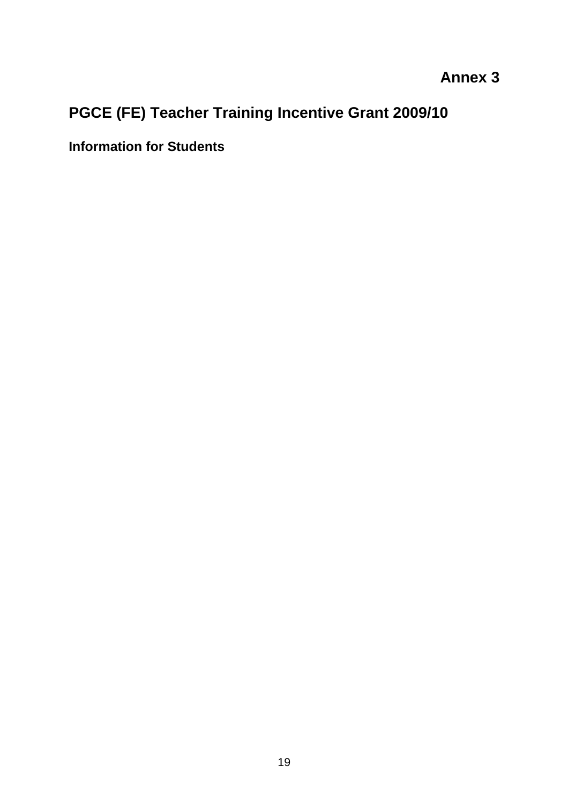# **Annex 3**

# **PGCE (FE) Teacher Training Incentive Grant 2009/10**

**Information for Students**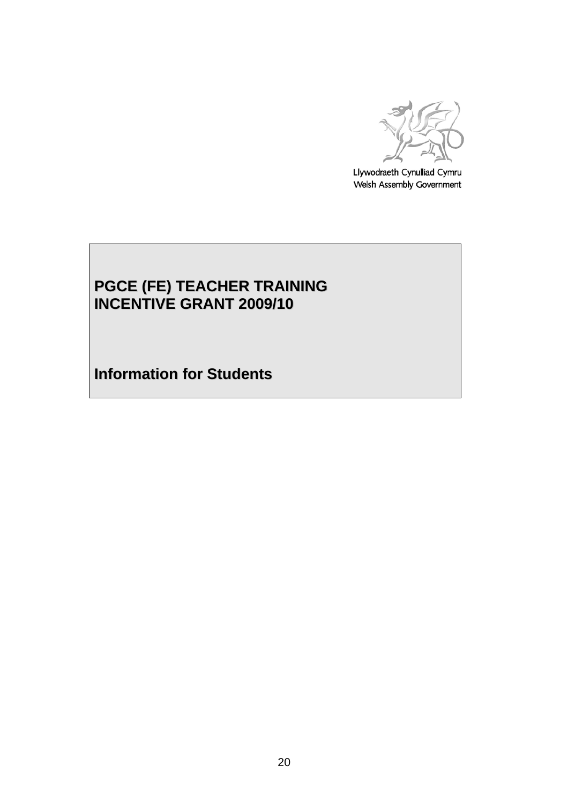

Llywodraeth Cynulliad Cymru Welsh Assembly Government

# **PGCE (FE) TEACHER TRAINING INCENTIVE GRANT 2009/10**

**Information for Students**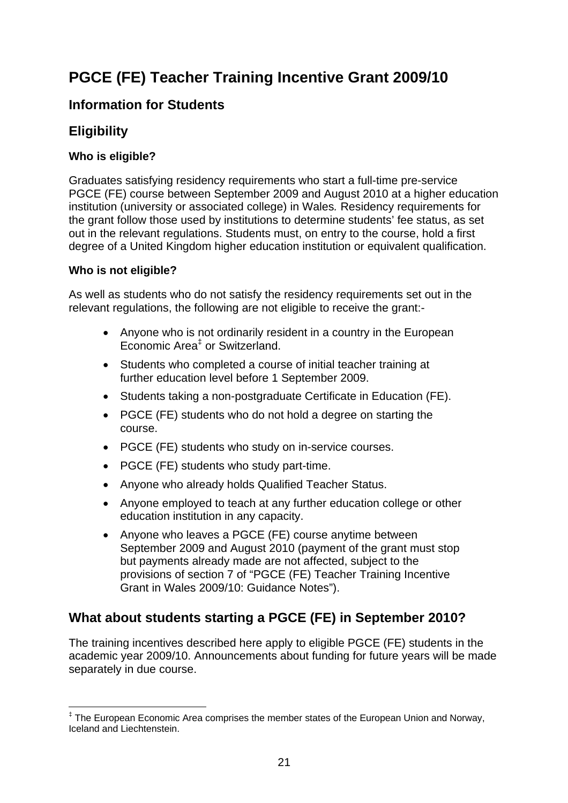# **PGCE (FE) Teacher Training Incentive Grant 2009/10**

# **Information for Students**

# **Eligibility**

# **Who is eligible?**

Graduates satisfying residency requirements who start a full-time pre-service PGCE (FE) course between September 2009 and August 2010 at a higher education institution (university or associated college) in Wales*.* Residency requirements for the grant follow those used by institutions to determine students' fee status, as set out in the relevant regulations. Students must, on entry to the course, hold a first degree of a United Kingdom higher education institution or equivalent qualification.

# **Who is not eligible?**

 $\overline{a}$ 

As well as students who do not satisfy the residency requirements set out in the relevant regulations, the following are not eligible to receive the grant:-

- Anyone who is not ordinarily resident in a country in the European Economic Area<sup>‡</sup> or Switzerland.
- Students who completed a course of initial teacher training at further education level before 1 September 2009.
- Students taking a non-postgraduate Certificate in Education (FE).
- PGCE (FE) students who do not hold a degree on starting the course.
- PGCE (FE) students who study on in-service courses.
- PGCE (FE) students who study part-time.
- Anyone who already holds Qualified Teacher Status.
- Anyone employed to teach at any further education college or other education institution in any capacity.
- Anyone who leaves a PGCE (FE) course anytime between September 2009 and August 2010 (payment of the grant must stop but payments already made are not affected, subject to the provisions of section 7 of "PGCE (FE) Teacher Training Incentive Grant in Wales 2009/10: Guidance Notes").

# **What about students starting a PGCE (FE) in September 2010?**

The training incentives described here apply to eligible PGCE (FE) students in the academic year 2009/10. Announcements about funding for future years will be made separately in due course.

<sup>‡</sup> The European Economic Area comprises the member states of the European Union and Norway, Iceland and Liechtenstein.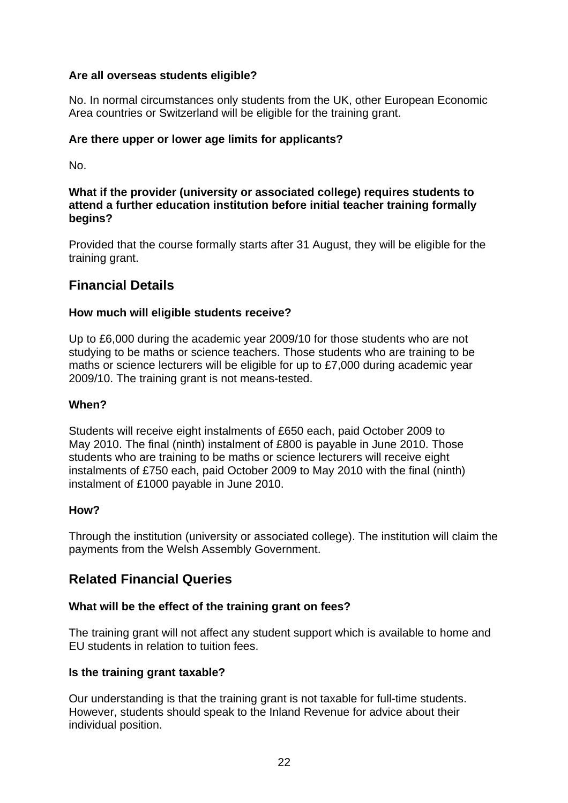# **Are all overseas students eligible?**

No. In normal circumstances only students from the UK, other European Economic Area countries or Switzerland will be eligible for the training grant.

#### **Are there upper or lower age limits for applicants?**

No.

#### **What if the provider (university or associated college) requires students to attend a further education institution before initial teacher training formally begins?**

Provided that the course formally starts after 31 August, they will be eligible for the training grant.

# **Financial Details**

## **How much will eligible students receive?**

Up to £6,000 during the academic year 2009/10 for those students who are not studying to be maths or science teachers. Those students who are training to be maths or science lecturers will be eligible for up to £7,000 during academic year 2009/10. The training grant is not means-tested.

#### **When?**

Students will receive eight instalments of £650 each, paid October 2009 to May 2010. The final (ninth) instalment of £800 is payable in June 2010. Those students who are training to be maths or science lecturers will receive eight instalments of £750 each, paid October 2009 to May 2010 with the final (ninth) instalment of £1000 payable in June 2010.

#### **How?**

Through the institution (university or associated college). The institution will claim the payments from the Welsh Assembly Government.

# **Related Financial Queries**

#### **What will be the effect of the training grant on fees?**

The training grant will not affect any student support which is available to home and EU students in relation to tuition fees.

#### **Is the training grant taxable?**

Our understanding is that the training grant is not taxable for full-time students. However, students should speak to the Inland Revenue for advice about their individual position.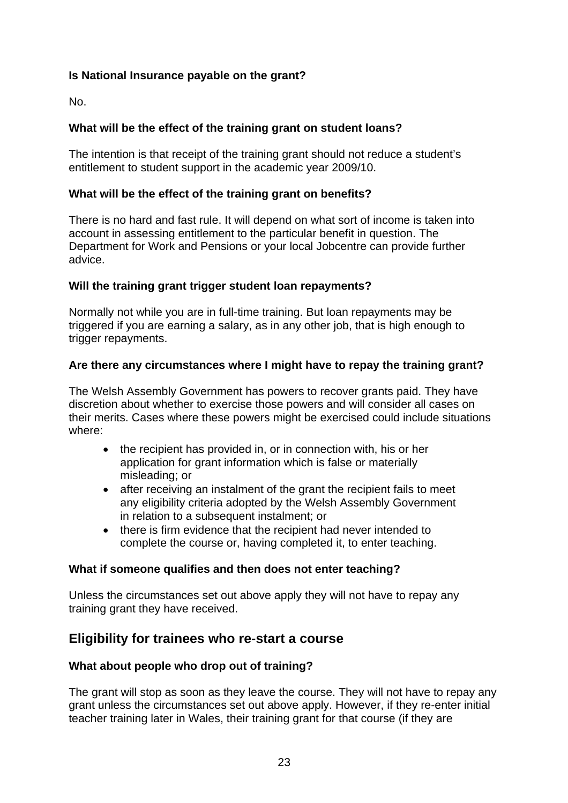# **Is National Insurance payable on the grant?**

No.

# **What will be the effect of the training grant on student loans?**

The intention is that receipt of the training grant should not reduce a student's entitlement to student support in the academic year 2009/10.

## **What will be the effect of the training grant on benefits?**

There is no hard and fast rule. It will depend on what sort of income is taken into account in assessing entitlement to the particular benefit in question. The Department for Work and Pensions or your local Jobcentre can provide further advice.

## **Will the training grant trigger student loan repayments?**

Normally not while you are in full-time training. But loan repayments may be triggered if you are earning a salary, as in any other job, that is high enough to trigger repayments.

## **Are there any circumstances where I might have to repay the training grant?**

The Welsh Assembly Government has powers to recover grants paid. They have discretion about whether to exercise those powers and will consider all cases on their merits. Cases where these powers might be exercised could include situations where:

- the recipient has provided in, or in connection with, his or her application for grant information which is false or materially misleading; or
- after receiving an instalment of the grant the recipient fails to meet any eligibility criteria adopted by the Welsh Assembly Government in relation to a subsequent instalment; or
- there is firm evidence that the recipient had never intended to complete the course or, having completed it, to enter teaching.

#### **What if someone qualifies and then does not enter teaching?**

Unless the circumstances set out above apply they will not have to repay any training grant they have received.

# **Eligibility for trainees who re-start a course**

#### **What about people who drop out of training?**

The grant will stop as soon as they leave the course. They will not have to repay any grant unless the circumstances set out above apply. However, if they re-enter initial teacher training later in Wales, their training grant for that course (if they are